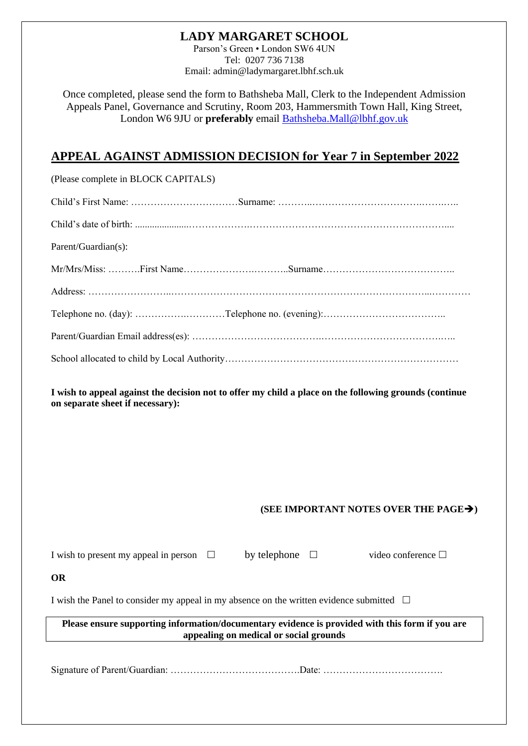## **LADY MARGARET SCHOOL**

Parson's Green • London SW6 4UN Tel: 0207 736 7138 Email: admin@ladymargaret.lbhf.sch.uk

Once completed, please send the form to Bathsheba Mall, Clerk to the Independent Admission Appeals Panel, Governance and Scrutiny, Room 203, Hammersmith Town Hall, King Street, London W6 9JU or **preferably** email [Bathsheba.Mall@lbhf.gov.uk](mailto:Bathsheba.Mall@lbhf.gov.uk)

# **APPEAL AGAINST ADMISSION DECISION for Year 7 in September 2022**

| Parent/Guardian(s): |
|---------------------|
|                     |
|                     |
|                     |
|                     |
|                     |

**I wish to appeal against the decision not to offer my child a place on the following grounds (continue on separate sheet if necessary):**

#### **(SEE IMPORTANT NOTES OVER THE PAGE**➔**)**

| I wish to present my appeal in person $\Box$                                                                                              |  | by telephone $\square$ |  | video conference $\Box$ |  |
|-------------------------------------------------------------------------------------------------------------------------------------------|--|------------------------|--|-------------------------|--|
| OR                                                                                                                                        |  |                        |  |                         |  |
| I wish the Panel to consider my appeal in my absence on the written evidence submitted $\Box$                                             |  |                        |  |                         |  |
| Please ensure supporting information/documentary evidence is provided with this form if you are<br>appealing on medical or social grounds |  |                        |  |                         |  |
|                                                                                                                                           |  |                        |  |                         |  |